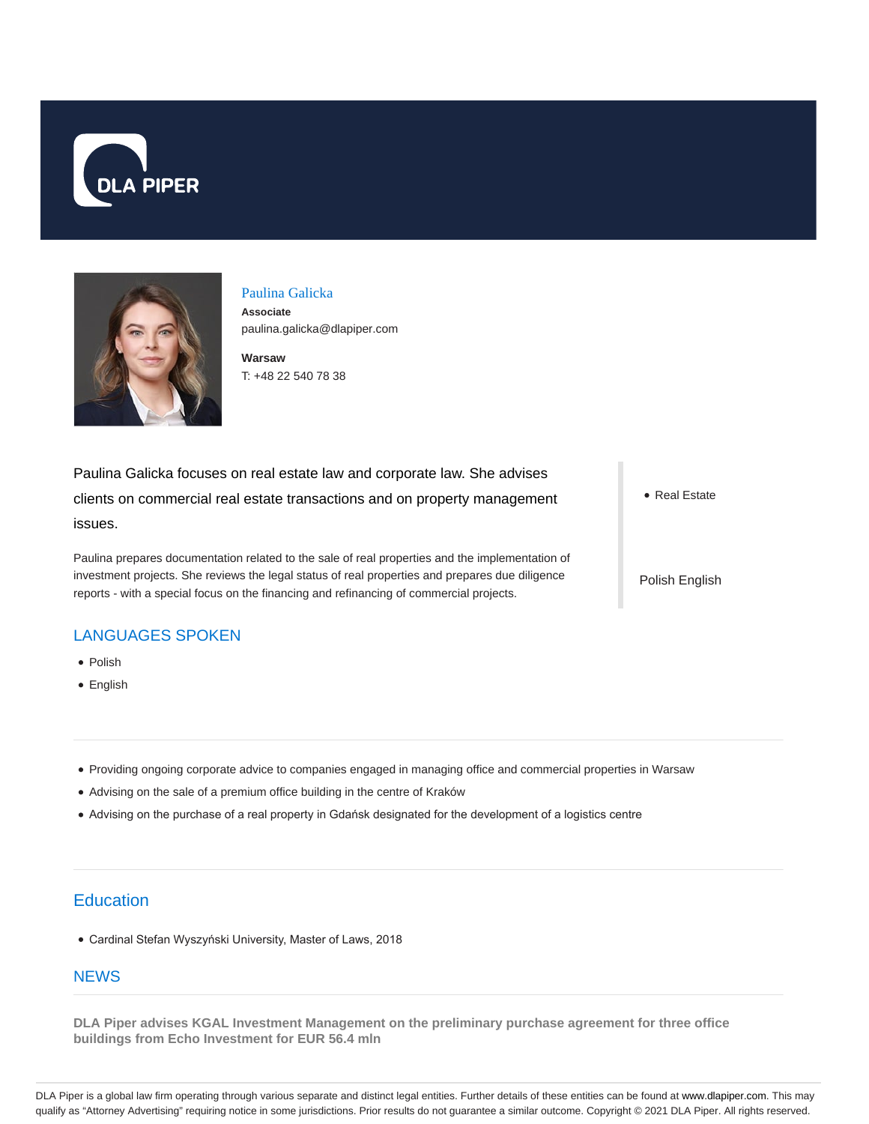



### Paulina Galicka

**Associate** paulina.galicka@dlapiper.com

**Warsaw** T: +48 22 540 78 38

Paulina Galicka focuses on real estate law and corporate law. She advises clients on commercial real estate transactions and on property management issues.

Paulina prepares documentation related to the sale of real properties and the implementation of investment projects. She reviews the legal status of real properties and prepares due diligence reports - with a special focus on the financing and refinancing of commercial projects.

• Real Estate

Polish English

## LANGUAGES SPOKEN

- Polish
- English
- Providing ongoing corporate advice to companies engaged in managing office and commercial properties in Warsaw
- Advising on the sale of a premium office building in the centre of Kraków
- Advising on the purchase of a real property in Gdańsk designated for the development of a logistics centre

# **Education**

Cardinal Stefan Wyszyński University, Master of Laws, 2018

## **NEWS**

**DLA Piper advises KGAL Investment Management on the preliminary purchase agreement for three office buildings from Echo Investment for EUR 56.4 mln**

DLA Piper is a global law firm operating through various separate and distinct legal entities. Further details of these entities can be found at www.dlapiper.com. This may qualify as "Attorney Advertising" requiring notice in some jurisdictions. Prior results do not guarantee a similar outcome. Copyright © 2021 DLA Piper. All rights reserved.